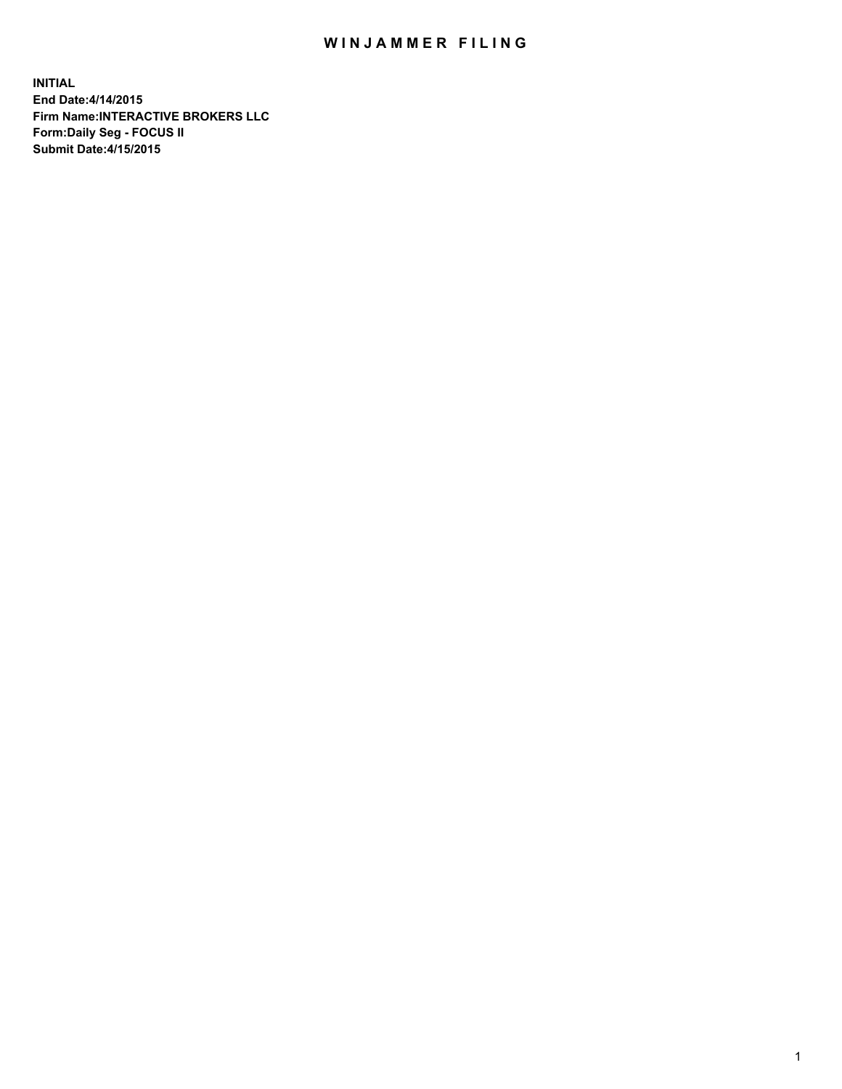## WIN JAMMER FILING

**INITIAL End Date:4/14/2015 Firm Name:INTERACTIVE BROKERS LLC Form:Daily Seg - FOCUS II Submit Date:4/15/2015**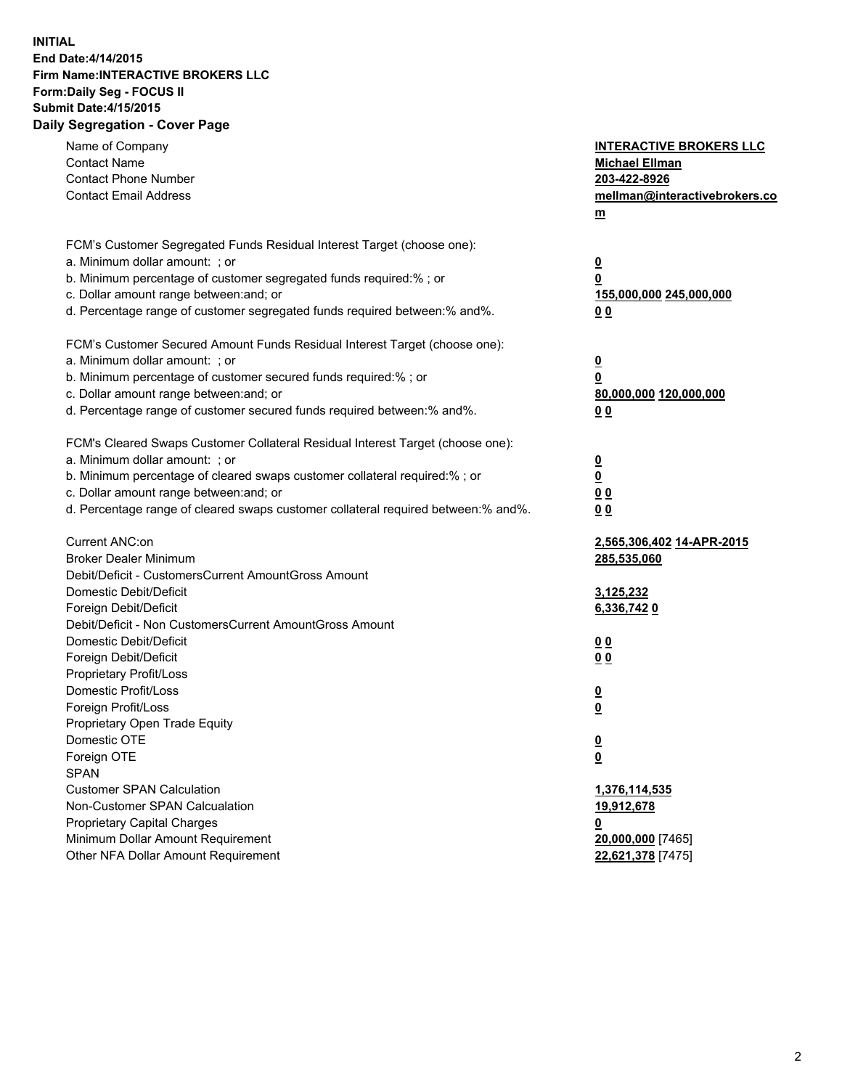## **INITIAL End Date:4/14/2015 Firm Name:INTERACTIVE BROKERS LLC Form:Daily Seg - FOCUS II Submit Date:4/15/2015 Daily Segregation - Cover Page**

| Name of Company<br><b>Contact Name</b><br><b>Contact Phone Number</b><br><b>Contact Email Address</b>                                                                                                                                                                                                                          | <b>INTERACTIVE BROKERS LLC</b><br><b>Michael Ellman</b><br>203-422-8926<br>mellman@interactivebrokers.co<br>$m$ |
|--------------------------------------------------------------------------------------------------------------------------------------------------------------------------------------------------------------------------------------------------------------------------------------------------------------------------------|-----------------------------------------------------------------------------------------------------------------|
| FCM's Customer Segregated Funds Residual Interest Target (choose one):<br>a. Minimum dollar amount: ; or<br>b. Minimum percentage of customer segregated funds required:% ; or<br>c. Dollar amount range between: and; or<br>d. Percentage range of customer segregated funds required between:% and%.                         | $\overline{\mathbf{0}}$<br>0<br>155,000,000 245,000,000<br>0 <sub>0</sub>                                       |
| FCM's Customer Secured Amount Funds Residual Interest Target (choose one):<br>a. Minimum dollar amount: ; or<br>b. Minimum percentage of customer secured funds required:% ; or<br>c. Dollar amount range between: and; or<br>d. Percentage range of customer secured funds required between:% and%.                           | $\overline{\mathbf{0}}$<br>0<br>80,000,000 120,000,000<br>0 <sub>0</sub>                                        |
| FCM's Cleared Swaps Customer Collateral Residual Interest Target (choose one):<br>a. Minimum dollar amount: ; or<br>b. Minimum percentage of cleared swaps customer collateral required:% ; or<br>c. Dollar amount range between: and; or<br>d. Percentage range of cleared swaps customer collateral required between:% and%. | $\overline{\mathbf{0}}$<br>$\underline{\mathbf{0}}$<br>0 <sub>0</sub><br>0 <sub>0</sub>                         |
| Current ANC:on<br><b>Broker Dealer Minimum</b><br>Debit/Deficit - CustomersCurrent AmountGross Amount<br>Domestic Debit/Deficit<br>Foreign Debit/Deficit                                                                                                                                                                       | 2,565,306,402 14-APR-2015<br>285,535,060<br>3,125,232<br>6,336,7420                                             |
| Debit/Deficit - Non CustomersCurrent AmountGross Amount<br>Domestic Debit/Deficit<br>Foreign Debit/Deficit<br>Proprietary Profit/Loss<br>Domestic Profit/Loss                                                                                                                                                                  | 0 <sub>0</sub><br>0 <sub>0</sub><br>$\overline{\mathbf{0}}$                                                     |
| Foreign Profit/Loss<br>Proprietary Open Trade Equity<br>Domestic OTE<br>Foreign OTE<br><b>SPAN</b><br><b>Customer SPAN Calculation</b>                                                                                                                                                                                         | $\overline{\mathbf{0}}$<br>$\underline{\mathbf{0}}$<br><u>0</u><br>1,376,114,535                                |
| Non-Customer SPAN Calcualation<br><b>Proprietary Capital Charges</b><br>Minimum Dollar Amount Requirement<br>Other NFA Dollar Amount Requirement                                                                                                                                                                               | 19,912,678<br><u>0</u><br>20,000,000 [7465]<br>22,621,378 [7475]                                                |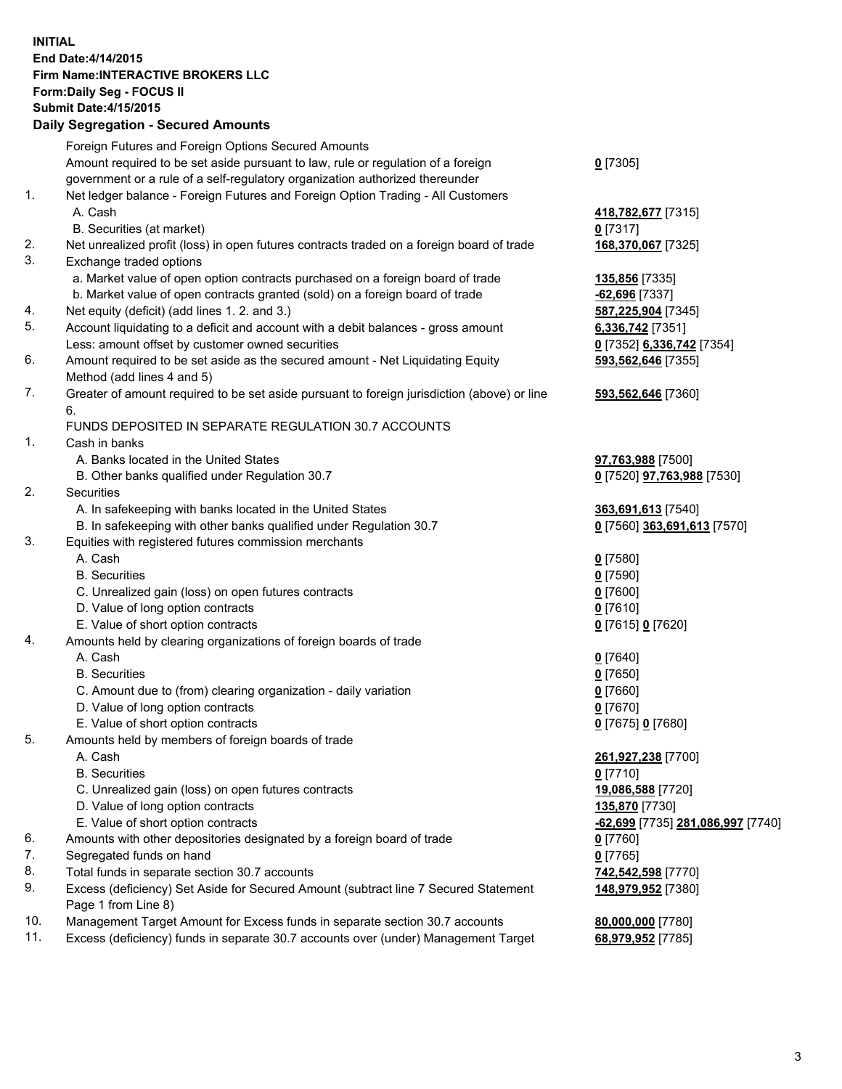## **INITIAL End Date:4/14/2015 Firm Name:INTERACTIVE BROKERS LLC Form:Daily Seg - FOCUS II Submit Date:4/15/2015 Daily Segregation - Secured Amounts**

| Dany Ocgregation - Oceanea Annoanta                                                         |                                                |
|---------------------------------------------------------------------------------------------|------------------------------------------------|
| Foreign Futures and Foreign Options Secured Amounts                                         |                                                |
| Amount required to be set aside pursuant to law, rule or regulation of a foreign            | $0$ [7305]                                     |
| government or a rule of a self-regulatory organization authorized thereunder                |                                                |
| Net ledger balance - Foreign Futures and Foreign Option Trading - All Customers             |                                                |
| A. Cash                                                                                     | 418,782,677 [7315]                             |
| B. Securities (at market)                                                                   | $0$ [7317]                                     |
| Net unrealized profit (loss) in open futures contracts traded on a foreign board of trade   | 168,370,067 [7325]                             |
| Exchange traded options                                                                     |                                                |
| a. Market value of open option contracts purchased on a foreign board of trade              | 135,856 [7335]                                 |
| b. Market value of open contracts granted (sold) on a foreign board of trade                | <u>-62,696</u> [7337]                          |
| Net equity (deficit) (add lines 1.2. and 3.)                                                | 587,225,904 [7345]                             |
| Account liquidating to a deficit and account with a debit balances - gross amount           | 6,336,742 [7351]                               |
| Less: amount offset by customer owned securities                                            | 0 [7352] 6,336,742 [7354]                      |
| Amount required to be set aside as the secured amount - Net Liquidating Equity              | 593,562,646 [7355]                             |
| Method (add lines 4 and 5)                                                                  |                                                |
| Greater of amount required to be set aside pursuant to foreign jurisdiction (above) or line | 593,562,646 [7360]                             |
| 6.                                                                                          |                                                |
| FUNDS DEPOSITED IN SEPARATE REGULATION 30.7 ACCOUNTS                                        |                                                |
| Cash in banks                                                                               |                                                |
| A. Banks located in the United States                                                       | 97,763,988 [7500]                              |
| B. Other banks qualified under Regulation 30.7                                              | 0 [7520] <b>97,763,988</b> [7530]              |
| Securities                                                                                  |                                                |
| A. In safekeeping with banks located in the United States                                   | 363,691,613 [7540]                             |
| B. In safekeeping with other banks qualified under Regulation 30.7                          | 0 [7560] 363,691,613 [7570]                    |
| Equities with registered futures commission merchants                                       |                                                |
| A. Cash                                                                                     | $0$ [7580]                                     |
| <b>B.</b> Securities                                                                        | $0$ [7590]                                     |
| C. Unrealized gain (loss) on open futures contracts                                         | $0$ [7600]                                     |
| D. Value of long option contracts                                                           | $0$ [7610]                                     |
| E. Value of short option contracts                                                          | 0 [7615] 0 [7620]                              |
| Amounts held by clearing organizations of foreign boards of trade                           |                                                |
| A. Cash                                                                                     | $0$ [7640]                                     |
| <b>B.</b> Securities                                                                        | $0$ [7650]                                     |
| C. Amount due to (from) clearing organization - daily variation                             | $0$ [7660]                                     |
| D. Value of long option contracts                                                           | $0$ [7670]                                     |
| E. Value of short option contracts                                                          | 0 [7675] 0 [7680]                              |
| Amounts held by members of foreign boards of trade                                          |                                                |
| A. Cash                                                                                     | 261,927,238 [7700]                             |
| <b>B.</b> Securities                                                                        | $0$ [7710]                                     |
| C. Unrealized gain (loss) on open futures contracts                                         | 19,086,588 [7720]                              |
| D. Value of long option contracts                                                           | 135,870 [7730]                                 |
| E. Value of short option contracts                                                          | <mark>-62,699</mark> [7735] 281,086,997 [7740] |
| Amounts with other depositories designated by a foreign board of trade                      | $0$ [7760]                                     |
| Segregated funds on hand                                                                    | $0$ [7765]                                     |
| Total funds in separate section 30.7 accounts                                               | 742,542,598 [7770]                             |
| Excess (deficiency) Set Aside for Secured Amount (subtract line 7 Secured Statement         | 148,979,952 [7380]                             |
| Page 1 from Line 8)                                                                         |                                                |
| Management Target Amount for Excess funds in separate section 30.7 accounts                 | 80,000,000 [7780]                              |
| Excess (deficiency) funds in separate 30.7 accounts over (under) Management Target          | 68,979,952 [7785]                              |
|                                                                                             |                                                |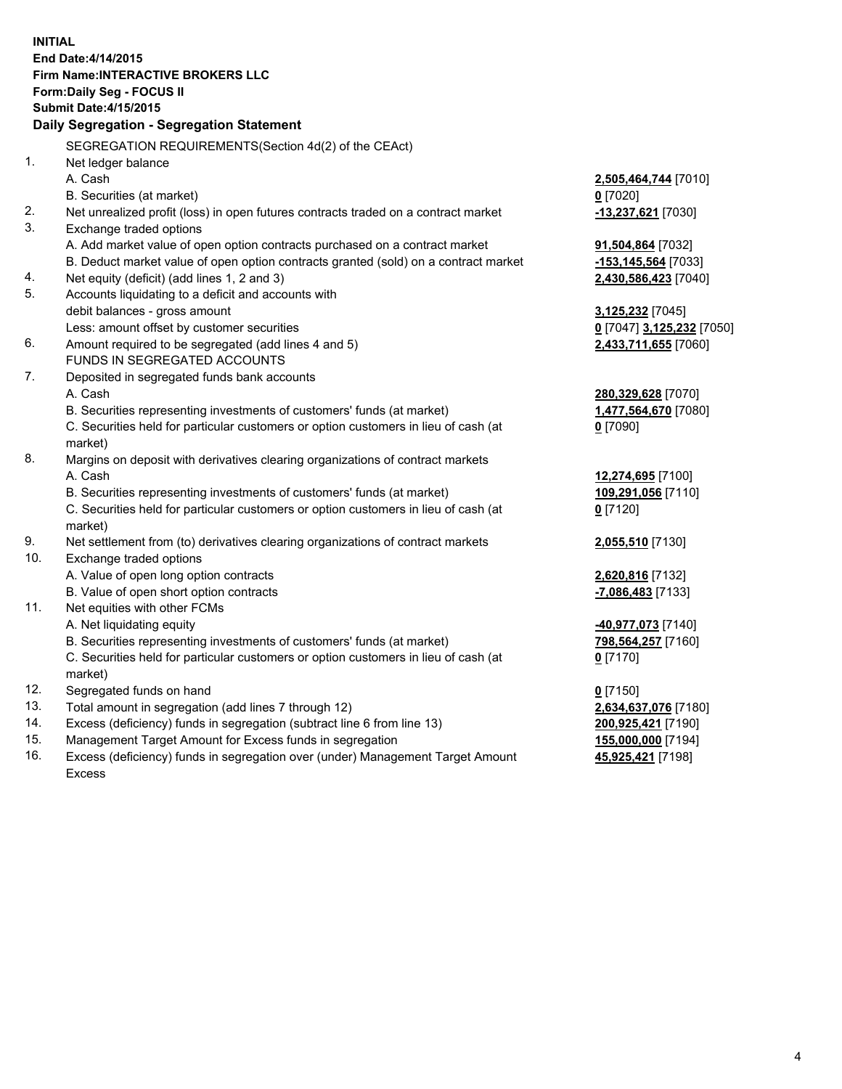**INITIAL End Date:4/14/2015 Firm Name:INTERACTIVE BROKERS LLC Form:Daily Seg - FOCUS II Submit Date:4/15/2015 Daily Segregation - Segregation Statement** SEGREGATION REQUIREMENTS(Section 4d(2) of the CEAct) 1. Net ledger balance A. Cash **2,505,464,744** [7010] B. Securities (at market) **0** [7020] 2. Net unrealized profit (loss) in open futures contracts traded on a contract market **-13,237,621** [7030] 3. Exchange traded options A. Add market value of open option contracts purchased on a contract market **91,504,864** [7032] B. Deduct market value of open option contracts granted (sold) on a contract market **-153,145,564** [7033] 4. Net equity (deficit) (add lines 1, 2 and 3) **2,430,586,423** [7040] 5. Accounts liquidating to a deficit and accounts with debit balances - gross amount **3,125,232** [7045] Less: amount offset by customer securities **0** [7047] **3,125,232** [7050] 6. Amount required to be segregated (add lines 4 and 5) **2,433,711,655** [7060] FUNDS IN SEGREGATED ACCOUNTS 7. Deposited in segregated funds bank accounts A. Cash **280,329,628** [7070] B. Securities representing investments of customers' funds (at market) **1,477,564,670** [7080] C. Securities held for particular customers or option customers in lieu of cash (at market) **0** [7090] 8. Margins on deposit with derivatives clearing organizations of contract markets A. Cash **12,274,695** [7100] B. Securities representing investments of customers' funds (at market) **109,291,056** [7110] C. Securities held for particular customers or option customers in lieu of cash (at market) **0** [7120] 9. Net settlement from (to) derivatives clearing organizations of contract markets **2,055,510** [7130] 10. Exchange traded options A. Value of open long option contracts **2,620,816** [7132] B. Value of open short option contracts **-7,086,483** [7133] 11. Net equities with other FCMs A. Net liquidating equity **-40,977,073** [7140] B. Securities representing investments of customers' funds (at market) **798,564,257** [7160] C. Securities held for particular customers or option customers in lieu of cash (at market) **0** [7170] 12. Segregated funds on hand **0** [7150] 13. Total amount in segregation (add lines 7 through 12) **2,634,637,076** [7180] 14. Excess (deficiency) funds in segregation (subtract line 6 from line 13) **200,925,421** [7190] 15. Management Target Amount for Excess funds in segregation **155,000,000** [7194]

16. Excess (deficiency) funds in segregation over (under) Management Target Amount Excess

**45,925,421** [7198]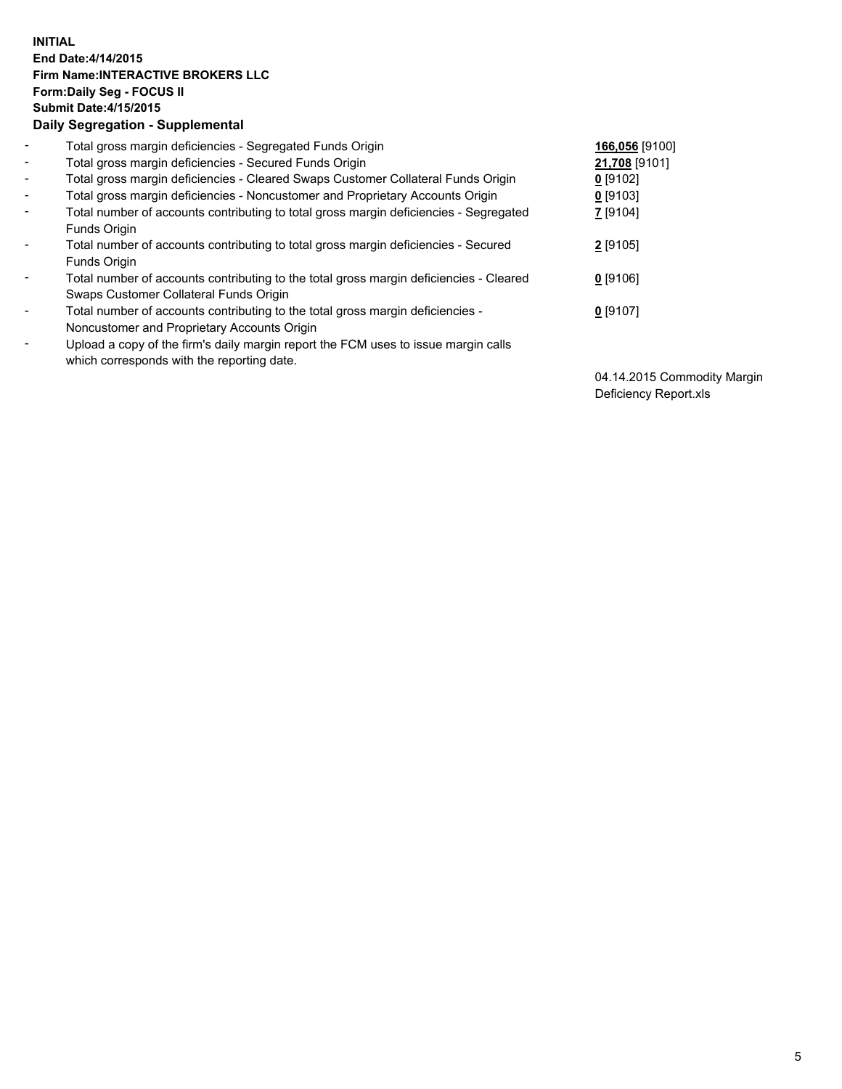## **INITIAL End Date:4/14/2015 Firm Name:INTERACTIVE BROKERS LLC Form:Daily Seg - FOCUS II Submit Date:4/15/2015 Daily Segregation - Supplemental**

| $\blacksquare$           | Total gross margin deficiencies - Segregated Funds Origin                              | 166,056 [9100] |
|--------------------------|----------------------------------------------------------------------------------------|----------------|
| $\blacksquare$           | Total gross margin deficiencies - Secured Funds Origin                                 | 21,708 [9101]  |
| $\blacksquare$           | Total gross margin deficiencies - Cleared Swaps Customer Collateral Funds Origin       | $0$ [9102]     |
| $\blacksquare$           | Total gross margin deficiencies - Noncustomer and Proprietary Accounts Origin          | $0$ [9103]     |
| $\blacksquare$           | Total number of accounts contributing to total gross margin deficiencies - Segregated  | 7 [9104]       |
|                          | Funds Origin                                                                           |                |
| $\blacksquare$           | Total number of accounts contributing to total gross margin deficiencies - Secured     | $2$ [9105]     |
|                          | Funds Origin                                                                           |                |
| $\overline{\phantom{a}}$ | Total number of accounts contributing to the total gross margin deficiencies - Cleared | $0$ [9106]     |
|                          | Swaps Customer Collateral Funds Origin                                                 |                |
| -                        | Total number of accounts contributing to the total gross margin deficiencies -         | $0$ [9107]     |
|                          | Noncustomer and Proprietary Accounts Origin                                            |                |
| $\blacksquare$           | Upload a copy of the firm's daily margin report the FCM uses to issue margin calls     |                |
|                          | which corresponds with the reporting date.                                             |                |

04.14.2015 Commodity Margin Deficiency Report.xls